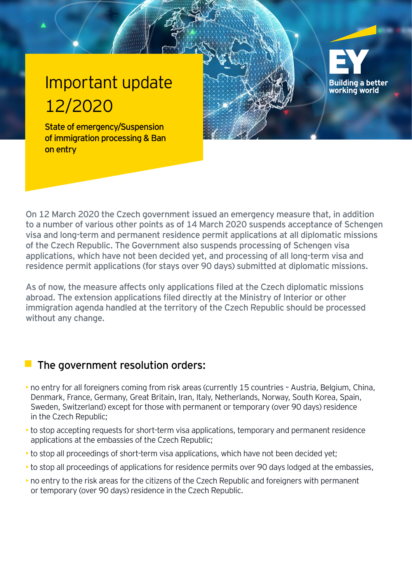## Important update 12/2020

State of emergency/Suspension of immigration processing & Ban on entry



**Building a better** working world

As of now, the measure affects only applications filed at the Czech diplomatic missions abroad. The extension applications filed directly at the Ministry of Interior or other immigration agenda handled at the territory of the Czech Republic should be processed without any change.

## The government resolution orders:

- ►no entry for all foreigners coming from risk areas (currently 15 countries Austria, Belgium, China, Denmark, France, Germany, Great Britain, Iran, Italy, Netherlands, Norway, South Korea, Spain, Sweden, Switzerland) except for those with permanent or temporary (over 90 days) residence in the Czech Republic;
- $\rightarrow$  to stop accepting requests for short-term visa applications, temporary and permanent residence applications at the embassies of the Czech Republic;
- to stop all proceedings of short-term visa applications, which have not been decided yet;
- to stop all proceedings of applications for residence permits over 90 days lodged at the embassies,
- ►no entry to the risk areas for the citizens of the Czech Republic and foreigners with permanent or temporary (over 90 days) residence in the Czech Republic.